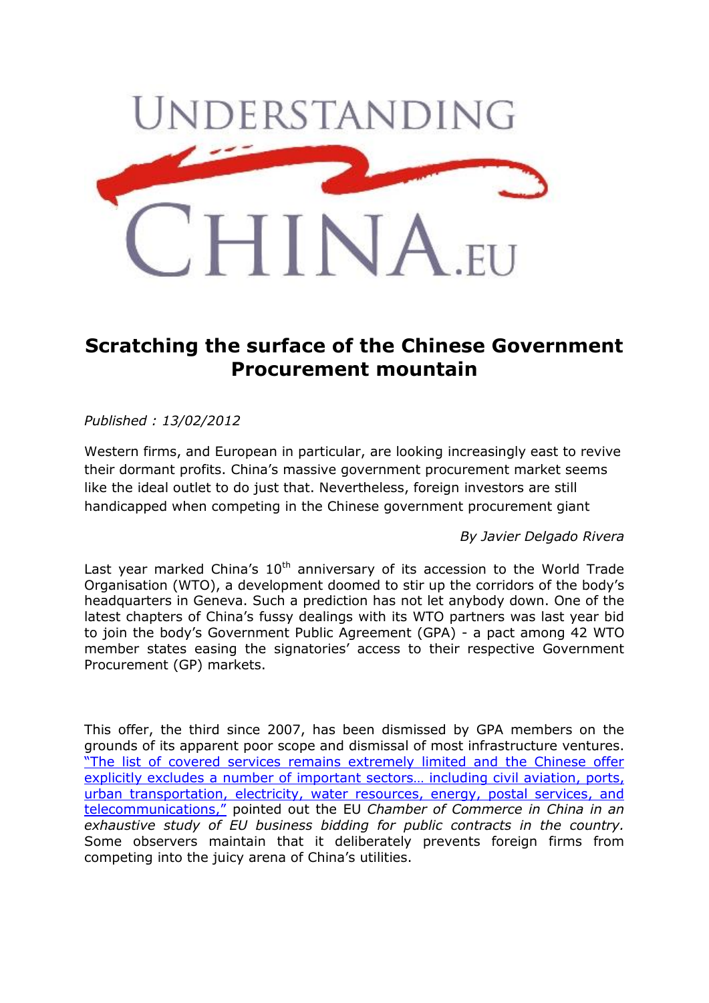

# **Scratching the surface of the Chinese Government Procurement mountain**

## *Published : 13/02/2012*

Western firms, and European in particular, are looking increasingly east to revive their dormant profits. China's massive government procurement market seems like the ideal outlet to do just that. Nevertheless, foreign investors are still handicapped when competing in the Chinese government procurement giant

*By Javier Delgado Rivera*

Last year marked China's  $10<sup>th</sup>$  anniversary of its accession to the World Trade Organisation (WTO), a development doomed to stir up the corridors of the body's headquarters in Geneva. Such a prediction has not let anybody down. One of the latest chapters of China's fussy dealings with its WTO partners was last year bid to join the body's Government Public Agreement (GPA) - a pact among 42 WTO member states easing the signatories' access to their respective Government Procurement (GP) markets.

This offer, the third since 2007, has been dismissed by GPA members on the grounds of its apparent poor scope and dismissal of most infrastructure ventures. ["The list of covered services remains extremely limited and the Chinese offer](http://www.publictendering.com/pdf/PPStudyENFinal.pdf)  [explicitly excludes a number of important sectors… including civ](http://www.publictendering.com/pdf/PPStudyENFinal.pdf)il aviation, ports, [urban transportation, electricity, water resources, energy, postal services, and](http://www.publictendering.com/pdf/PPStudyENFinal.pdf)  [telecommunications,"](http://www.publictendering.com/pdf/PPStudyENFinal.pdf) pointed out the EU *Chamber of Commerce in China in an exhaustive study of EU business bidding for public contracts in the country.* Some observers maintain that it deliberately prevents foreign firms from competing into the juicy arena of China's utilities.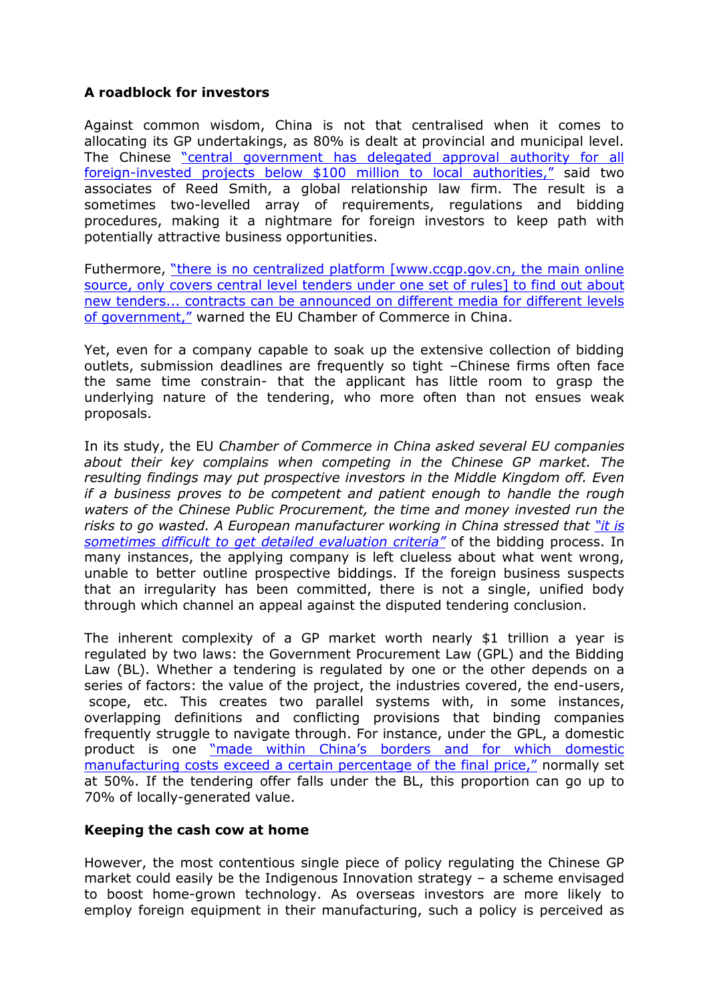## **A roadblock for investors**

Against common wisdom, China is not that centralised when it comes to allocating its GP undertakings, as 80% is dealt at provincial and municipal level. The Chinese ["central government has delegated approval authority for all](https://www.chinabusinessreview.com/public/1005/matechak.html)  [foreign-invested projects below \\$100 million to local](https://www.chinabusinessreview.com/public/1005/matechak.html) authorities," said two associates of Reed Smith, a global relationship law firm. The result is a sometimes two-levelled array of requirements, regulations and bidding procedures, making it a nightmare for foreign investors to keep path with potentially attractive business opportunities.

Futhermore, ["there is no centralized platform \[www.ccgp.gov.cn, the main online](http://www.publictendering.com/pdf/PPStudyENFinal.pdf)  [source, only covers central level tenders under one set of rules\] to find out about](http://www.publictendering.com/pdf/PPStudyENFinal.pdf)  [new tenders... contracts can be announced on different media for different levels](http://www.publictendering.com/pdf/PPStudyENFinal.pdf)  [of government,"](http://www.publictendering.com/pdf/PPStudyENFinal.pdf) warned the EU Chamber of Commerce in China.

Yet, even for a company capable to soak up the extensive collection of bidding outlets, submission deadlines are frequently so tight –Chinese firms often face the same time constrain- that the applicant has little room to grasp the underlying nature of the tendering, who more often than not ensues weak proposals.

In its study, the EU *Chamber of Commerce in China asked several EU companies about their key complains when competing in the Chinese GP market. The resulting findings may put prospective investors in the Middle Kingdom off. Even if a business proves to be competent and patient enough to handle the rough waters of the Chinese Public Procurement, the time and money invested run the risks to go wasted. A European manufacturer working in China stressed that "it is som[etimes difficult to get detailed evaluation criteria"](http://www.publictendering.com/pdf/PPStudyENFinal.pdf)* of the bidding process. In many instances, the applying company is left clueless about what went wrong, unable to better outline prospective biddings. If the foreign business suspects that an irregularity has been committed, there is not a single, unified body through which channel an appeal against the disputed tendering conclusion.

The inherent complexity of a GP market worth nearly \$1 trillion a year is regulated by two laws: the Government Procurement Law (GPL) and the Bidding Law (BL). Whether a tendering is regulated by one or the other depends on a series of factors: the value of the project, the industries covered, the end-users, scope, etc. This creates two parallel systems with, in some instances, overlapping definitions and conflicting provisions that binding companies frequently struggle to navigate through. For instance, under the GPL, a domestic product is one ["made within China's borders and for which domestic](https://www.chinabusinessreview.com/public/1003/uscbc.html)  [manufacturing costs exceed a certain percentage of the final price,"](https://www.chinabusinessreview.com/public/1003/uscbc.html) normally set at 50%. If the tendering offer falls under the BL, this proportion can go up to 70% of locally-generated value.

### **Keeping the cash cow at home**

However, the most contentious single piece of policy regulating the Chinese GP market could easily be the Indigenous Innovation strategy – a scheme envisaged to boost home-grown technology. As overseas investors are more likely to employ foreign equipment in their manufacturing, such a policy is perceived as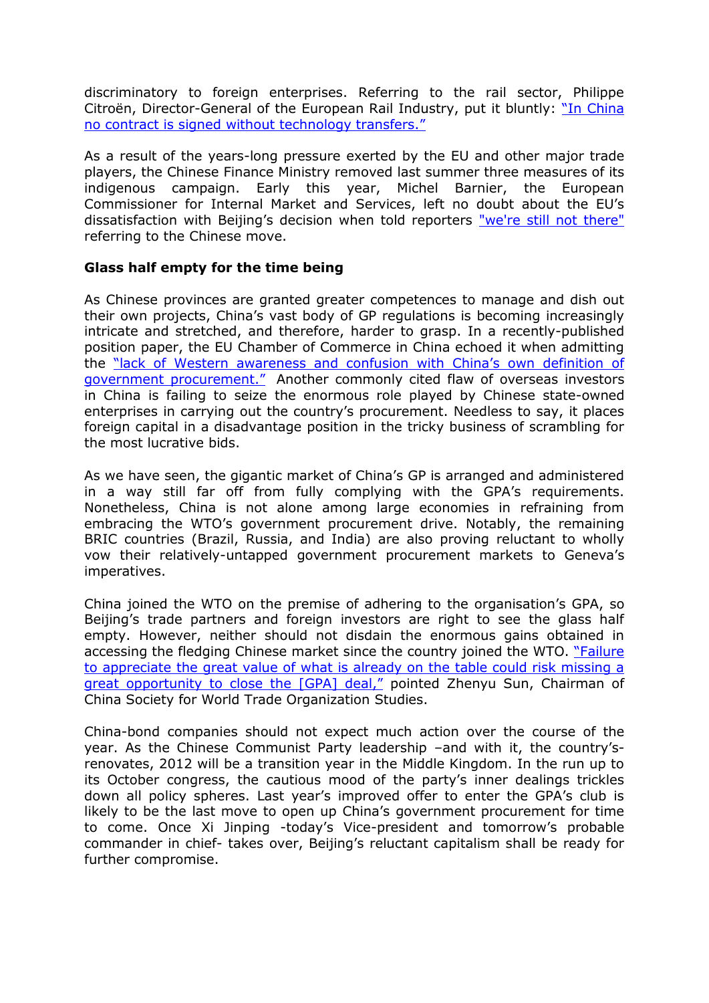discriminatory to foreign enterprises. Referring to the rail sector, Philippe Citroën, Director-General of the European Rail Industry, put it bluntly: "In China [no contract is signed without technology transfers."](http://www.rail-forum.eu/wp-content/uploads/2012/01/120111_Minutes_RFE.pdf)

As a result of the years-long pressure exerted by the EU and other major trade players, the Chinese Finance Ministry removed last summer three measures of its indigenous campaign. Early this year, Michel Barnier, the European Commissioner for Internal Market and Services, left no doubt about the EU's dissatisfaction with Beijing's decision when told reporters ["we're still not there"](http://www.wtocenter.org.tw/SmartKMS/fileviewer?id=122766) referring to the Chinese move.

### **Glass half empty for the time being**

As Chinese provinces are granted greater competences to manage and dish out their own projects, China's vast body of GP regulations is becoming increasingly intricate and stretched, and therefore, harder to grasp. In a recently-published position paper, the EU Chamber of Commerce in China echoed it when admitting the ["lack of Western awareness and confusion with China's own definition of](http://www.iberglobal.com/Archivos/china_position_paper_chamber.pdf)  [government procurement."](http://www.iberglobal.com/Archivos/china_position_paper_chamber.pdf) Another commonly cited flaw of overseas investors in China is failing to seize the enormous role played by Chinese state-owned enterprises in carrying out the country's procurement. Needless to say, it places foreign capital in a disadvantage position in the tricky business of scrambling for the most lucrative bids.

As we have seen, the gigantic market of China's GP is arranged and administered in a way still far off from fully complying with the GPA's requirements. Nonetheless, China is not alone among large economies in refraining from embracing the WTO's government procurement drive. Notably, the remaining BRIC countries (Brazil, Russia, and India) are also proving reluctant to wholly vow their relatively-untapped government procurement markets to Geneva's imperatives.

China joined the WTO on the premise of adhering to the organisation's GPA, so Beijing's trade partners and foreign investors are right to see the glass half empty. However, neither should not disdain the enormous gains obtained in accessing the fledging Chinese market since the country joined the WTO. ["Failure](http://issuu.com/ictsd/docs/a_decade_in_the_wto)  [to appreciate the great value of what is already on the table could risk missing a](http://issuu.com/ictsd/docs/a_decade_in_the_wto)  [great opportunity to close the \[GPA\] deal,"](http://issuu.com/ictsd/docs/a_decade_in_the_wto) pointed Zhenyu Sun, Chairman of China Society for World Trade Organization Studies.

China-bond companies should not expect much action over the course of the year. As the Chinese Communist Party leadership –and with it, the country'srenovates, 2012 will be a transition year in the Middle Kingdom. In the run up to its October congress, the cautious mood of the party's inner dealings trickles down all policy spheres. Last year's improved offer to enter the GPA's club is likely to be the last move to open up China's government procurement for time to come. Once Xi Jinping -today's Vice-president and tomorrow's probable commander in chief- takes over, Beijing's reluctant capitalism shall be ready for further compromise.